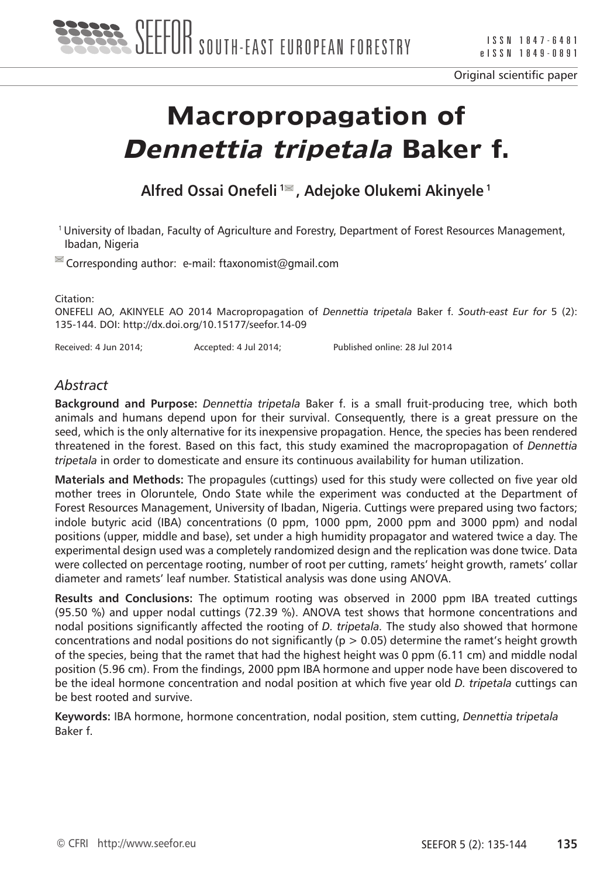

Original scientific paper

# **Macropropagation of Dennettia tripetala Baker f.**

**Alfred Ossai Onefeli 1 , Adejoke Olukemi Akinyele 1**

1 University of Ibadan, Faculty of Agriculture and Forestry, Department of Forest Resources Management, Ibadan, Nigeria

 $\blacksquare$  Corresponding author: e-mail: ftaxonomist@gmail.com

Citation:

ONEFELI AO, AKINYELE AO 2014 Macropropagation of *Dennettia tripetala* Baker f. *South-east Eur for* 5 (2): 135-144. DOI: http://dx.doi.org/10.15177/seefor.14-09

Received: 4 Jun 2014; Accepted: 4 Jul 2014; Published online: 28 Jul 2014

### *Abstract*

**Background and Purpose:** *Dennettia tripetala* Baker f. is a small fruit-producing tree, which both animals and humans depend upon for their survival. Consequently, there is a great pressure on the seed, which is the only alternative for its inexpensive propagation. Hence, the species has been rendered threatened in the forest. Based on this fact, this study examined the macropropagation of *Dennettia tripetala* in order to domesticate and ensure its continuous availability for human utilization.

**Materials and Methods:** The propagules (cuttings) used for this study were collected on five year old mother trees in Oloruntele, Ondo State while the experiment was conducted at the Department of Forest Resources Management, University of Ibadan, Nigeria. Cuttings were prepared using two factors; indole butyric acid (IBA) concentrations (0 ppm, 1000 ppm, 2000 ppm and 3000 ppm) and nodal positions (upper, middle and base), set under a high humidity propagator and watered twice a day. The experimental design used was a completely randomized design and the replication was done twice. Data were collected on percentage rooting, number of root per cutting, ramets' height growth, ramets' collar diameter and ramets' leaf number. Statistical analysis was done using ANOVA.

**Results and Conclusions:** The optimum rooting was observed in 2000 ppm IBA treated cuttings (95.50 %) and upper nodal cuttings (72.39 %). ANOVA test shows that hormone concentrations and nodal positions significantly affected the rooting of *D. tripetala.* The study also showed that hormone concentrations and nodal positions do not significantly ( $p > 0.05$ ) determine the ramet's height growth of the species, being that the ramet that had the highest height was 0 ppm (6.11 cm) and middle nodal position (5.96 cm). From the findings, 2000 ppm IBA hormone and upper node have been discovered to be the ideal hormone concentration and nodal position at which five year old *D. tripetala* cuttings can be best rooted and survive.

**Keywords:** IBA hormone, hormone concentration, nodal position, stem cutting, *Dennettia tripetala* Baker f.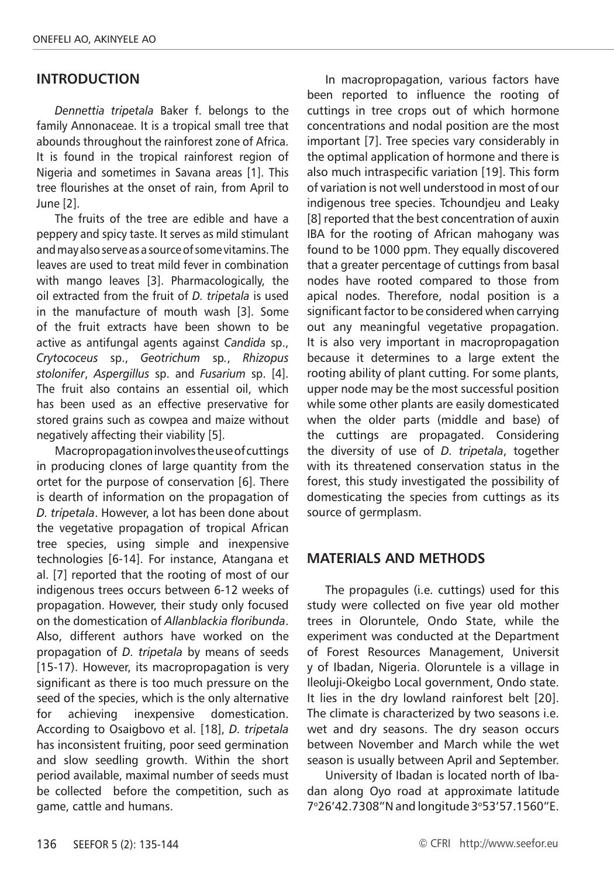#### **INTRODUCTION**

*Dennettia tripetala* Baker f. belongs to the family Annonaceae. It is a tropical small tree that abounds throughout the rainforest zone of Africa. It is found in the tropical rainforest region of Nigeria and sometimes in Savana areas [1]. This tree flourishes at the onset of rain, from April to June [2].

The fruits of the tree are edible and have a peppery and spicy taste. It serves as mild stimulant and may also serve as a source of some vitamins. The leaves are used to treat mild fever in combination with mango leaves [3]. Pharmacologically, the oil extracted from the fruit of *D. tripetala* is used in the manufacture of mouth wash [3]. Some of the fruit extracts have been shown to be active as antifungal agents against *Candida* sp., *Crytococeus* sp., *Geotrichum* sp*.*, *Rhizopus stolonifer*, *Aspergillus* sp. and *Fusarium* sp. [4]. The fruit also contains an essential oil, which has been used as an effective preservative for stored grains such as cowpea and maize without negatively affecting their viability [5].

Macropropagation involves the use of cuttings in producing clones of large quantity from the ortet for the purpose of conservation [6]. There is dearth of information on the propagation of *D. tripetala*. However, a lot has been done about the vegetative propagation of tropical African tree species, using simple and inexpensive technologies [6-14]. For instance, Atangana et al. [7] reported that the rooting of most of our indigenous trees occurs between 6-12 weeks of propagation. However, their study only focused on the domestication of *Allanblackia floribunda*. Also, different authors have worked on the propagation of *D. tripetala* by means of seeds [15-17). However, its macropropagation is very significant as there is too much pressure on the seed of the species, which is the only alternative for achieving inexpensive domestication. According to Osaigbovo et al. [18], *D. tripetala*  has inconsistent fruiting, poor seed germination and slow seedling growth. Within the short period available, maximal number of seeds must be collected before the competition, such as game, cattle and humans.

In macropropagation, various factors have been reported to influence the rooting of cuttings in tree crops out of which hormone concentrations and nodal position are the most important [7]. Tree species vary considerably in the optimal application of hormone and there is also much intraspecific variation [19]. This form of variation is not well understood in most of our indigenous tree species. Tchoundjeu and Leaky [8] reported that the best concentration of auxin IBA for the rooting of African mahogany was found to be 1000 ppm. They equally discovered that a greater percentage of cuttings from basal nodes have rooted compared to those from apical nodes. Therefore, nodal position is a significant factor to be considered when carrying out any meaningful vegetative propagation. It is also very important in macropropagation because it determines to a large extent the rooting ability of plant cutting. For some plants, upper node may be the most successful position while some other plants are easily domesticated when the older parts (middle and base) of the cuttings are propagated. Considering the diversity of use of *D. tripetala*, together with its threatened conservation status in the forest, this study investigated the possibility of domesticating the species from cuttings as its source of germplasm.

#### **MATERIALS AND METHODS**

The propagules (i.e. cuttings) used for this study were collected on five year old mother trees in Oloruntele, Ondo State, while the experiment was conducted at the Department of Forest Resources Management, Universit y of Ibadan, Nigeria. Oloruntele is a village in Ileoluji-Okeigbo Local government, Ondo state. It lies in the dry lowland rainforest belt [20]. The climate is characterized by two seasons i.e. wet and dry seasons. The dry season occurs between November and March while the wet season is usually between April and September.

University of Ibadan is located north of Ibadan along Oyo road at approximate latitude 7°26'42.7308"N and longitude 3°53'57.1560"E.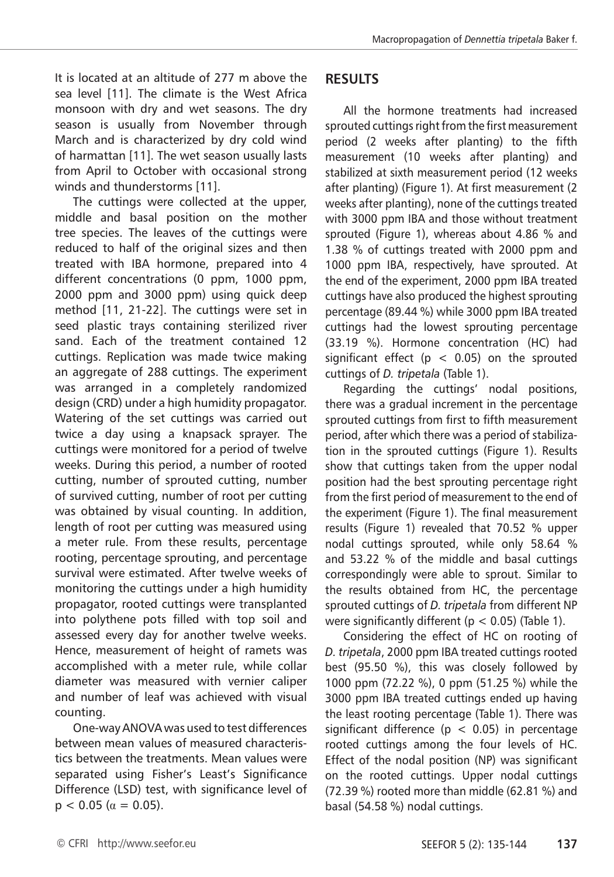It is located at an altitude of 277 m above the sea level [11]. The climate is the West Africa monsoon with dry and wet seasons. The dry season is usually from November through March and is characterized by dry cold wind of harmattan [11]. The wet season usually lasts from April to October with occasional strong winds and thunderstorms [11].

The cuttings were collected at the upper, middle and basal position on the mother tree species. The leaves of the cuttings were reduced to half of the original sizes and then treated with IBA hormone, prepared into 4 different concentrations (0 ppm, 1000 ppm, 2000 ppm and 3000 ppm) using quick deep method [11, 21-22]. The cuttings were set in seed plastic trays containing sterilized river sand. Each of the treatment contained 12 cuttings. Replication was made twice making an aggregate of 288 cuttings. The experiment was arranged in a completely randomized design (CRD) under a high humidity propagator. Watering of the set cuttings was carried out twice a day using a knapsack sprayer. The cuttings were monitored for a period of twelve weeks. During this period, a number of rooted cutting, number of sprouted cutting, number of survived cutting, number of root per cutting was obtained by visual counting. In addition, length of root per cutting was measured using a meter rule. From these results, percentage rooting, percentage sprouting, and percentage survival were estimated. After twelve weeks of monitoring the cuttings under a high humidity propagator, rooted cuttings were transplanted into polythene pots filled with top soil and assessed every day for another twelve weeks. Hence, measurement of height of ramets was accomplished with a meter rule, while collar diameter was measured with vernier caliper and number of leaf was achieved with visual counting.

One-way ANOVA was used to test differences between mean values of measured characteristics between the treatments. Mean values were separated using Fisher's Least's Significance Difference (LSD) test, with significance level of  $p < 0.05$  ( $\alpha = 0.05$ ).

## **RESULTS**

All the hormone treatments had increased sprouted cuttings right from the first measurement period (2 weeks after planting) to the fifth measurement (10 weeks after planting) and stabilized at sixth measurement period (12 weeks after planting) (Figure 1). At first measurement (2 weeks after planting), none of the cuttings treated with 3000 ppm IBA and those without treatment sprouted (Figure 1), whereas about 4.86 % and 1.38 % of cuttings treated with 2000 ppm and 1000 ppm IBA, respectively, have sprouted. At the end of the experiment, 2000 ppm IBA treated cuttings have also produced the highest sprouting percentage (89.44 %) while 3000 ppm IBA treated cuttings had the lowest sprouting percentage (33.19 %). Hormone concentration (HC) had significant effect ( $p < 0.05$ ) on the sprouted cuttings of *D. tripetala* (Table 1).

Regarding the cuttings' nodal positions, there was a gradual increment in the percentage sprouted cuttings from first to fifth measurement period, after which there was a period of stabilization in the sprouted cuttings (Figure 1). Results show that cuttings taken from the upper nodal position had the best sprouting percentage right from the first period of measurement to the end of the experiment (Figure 1). The final measurement results (Figure 1) revealed that 70.52 % upper nodal cuttings sprouted, while only 58.64 % and 53.22 % of the middle and basal cuttings correspondingly were able to sprout. Similar to the results obtained from HC, the percentage sprouted cuttings of *D. tripetala* from different NP were significantly different ( $p < 0.05$ ) (Table 1).

Considering the effect of HC on rooting of *D. tripetala*, 2000 ppm IBA treated cuttings rooted best (95.50 %), this was closely followed by 1000 ppm (72.22 %), 0 ppm (51.25 %) while the 3000 ppm IBA treated cuttings ended up having the least rooting percentage (Table 1). There was significant difference ( $p < 0.05$ ) in percentage rooted cuttings among the four levels of HC. Effect of the nodal position (NP) was significant on the rooted cuttings. Upper nodal cuttings (72.39 %) rooted more than middle (62.81 %) and basal (54.58 %) nodal cuttings.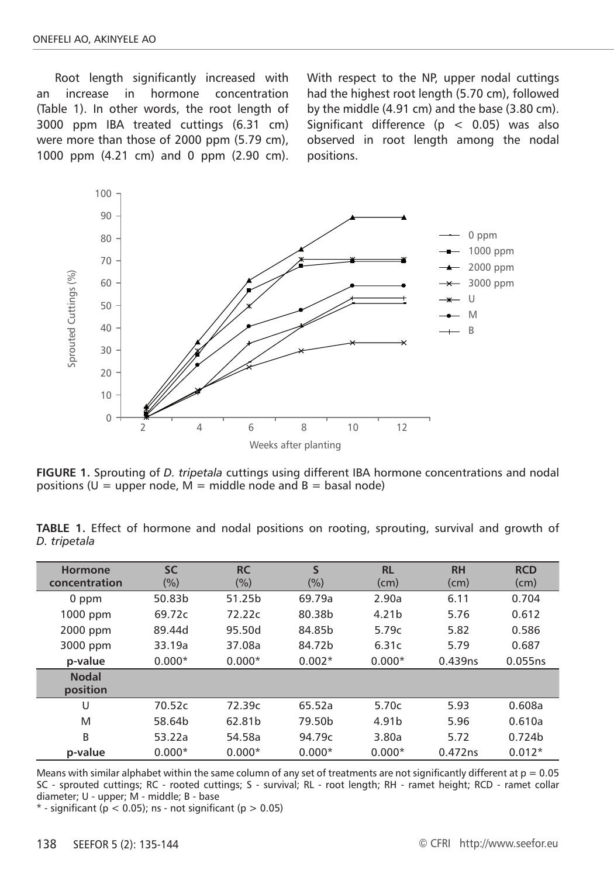Root length significantly increased with an increase in hormone concentration (Table 1). In other words, the root length of 3000 ppm IBA treated cuttings (6.31 cm) were more than those of 2000 ppm (5.79 cm), 1000 ppm (4.21 cm) and 0 ppm (2.90 cm). With respect to the NP, upper nodal cuttings had the highest root length (5.70 cm), followed by the middle (4.91 cm) and the base (3.80 cm). Significant difference ( $p < 0.05$ ) was also observed in root length among the nodal positions.



**FIGURE 1.** Sprouting of *D. tripetala* cuttings using different IBA hormone concentrations and nodal positions (U = upper node, M = middle node and  $B =$  basal node)

**TABLE 1.** Effect of hormone and nodal positions on rooting, sprouting, survival and growth of *D. tripetala*

| <b>Hormone</b><br>concentration | <b>SC</b><br>(%) | <b>RC</b><br>$(\%)$ | S<br>(%) | <b>RL</b><br>(cm) | <b>RH</b><br>(cm) | <b>RCD</b><br>(cm) |
|---------------------------------|------------------|---------------------|----------|-------------------|-------------------|--------------------|
| 0 ppm                           | 50.83b           | 51.25b              | 69.79a   | 2.90a             | 6.11              | 0.704              |
| 1000 ppm                        | 69.72c           | 72.22c              | 80.38b   | 4.21 <sub>b</sub> | 5.76              | 0.612              |
| 2000 ppm                        | 89.44d           | 95.50d              | 84.85b   | 5.79c             | 5.82              | 0.586              |
| 3000 ppm                        | 33.19a           | 37.08a              | 84.72b   | 6.31c             | 5.79              | 0.687              |
| p-value                         | $0.000*$         | $0.000*$            | $0.002*$ | $0.000*$          | 0.439ns           | 0.055ns            |
| <b>Nodal</b><br>position        |                  |                     |          |                   |                   |                    |
| U                               | 70.52c           | 72.39c              | 65.52a   | 5.70c             | 5.93              | 0.608a             |
| M                               | 58.64b           | 62.81b              | 79.50b   | 4.91b             | 5.96              | 0.610a             |
| B                               | 53.22a           | 54.58a              | 94.79c   | 3.80a             | 5.72              | 0.724b             |
| p-value                         | $0.000*$         | $0.000*$            | $0.000*$ | $0.000*$          | 0.472ns           | $0.012*$           |

Means with similar alphabet within the same column of any set of treatments are not significantly different at  $p = 0.05$ SC - sprouted cuttings; RC - rooted cuttings; S - survival; RL - root length; RH - ramet height; RCD - ramet collar diameter; U - upper; M - middle; B - base

 $*$  - significant (p < 0.05); ns - not significant (p > 0.05)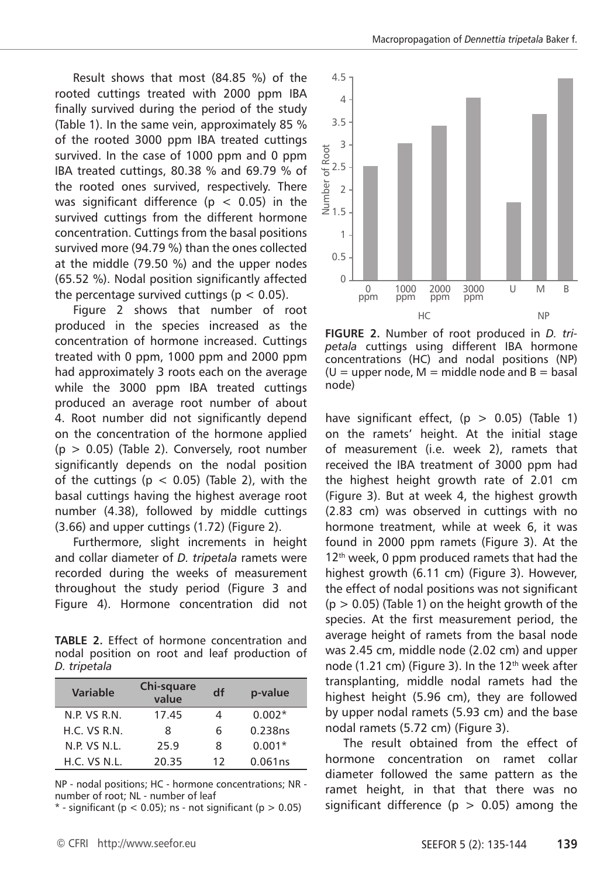Result shows that most (84.85 %) of the rooted cuttings treated with 2000 ppm IBA finally survived during the period of the study (Table 1). In the same vein, approximately 85 % of the rooted 3000 ppm IBA treated cuttings survived. In the case of 1000 ppm and 0 ppm IBA treated cuttings, 80.38 % and 69.79 % of the rooted ones survived, respectively. There was significant difference ( $p < 0.05$ ) in the survived cuttings from the different hormone concentration. Cuttings from the basal positions survived more (94.79 %) than the ones collected at the middle (79.50 %) and the upper nodes (65.52 %). Nodal position significantly affected the percentage survived cuttings ( $p < 0.05$ ).

Figure 2 shows that number of root produced in the species increased as the concentration of hormone increased. Cuttings treated with 0 ppm, 1000 ppm and 2000 ppm had approximately 3 roots each on the average while the 3000 ppm IBA treated cuttings produced an average root number of about 4. Root number did not significantly depend on the concentration of the hormone applied  $(p > 0.05)$  (Table 2). Conversely, root number significantly depends on the nodal position of the cuttings ( $p < 0.05$ ) (Table 2), with the basal cuttings having the highest average root number (4.38), followed by middle cuttings (3.66) and upper cuttings (1.72) (Figure 2).

Furthermore, slight increments in height and collar diameter of *D. tripetala* ramets were recorded during the weeks of measurement throughout the study period (Figure 3 and Figure 4). Hormone concentration did not

**TABLE 2.** Effect of hormone concentration and nodal position on root and leaf production of *D. tripetala*

| <b>Variable</b> | Chi-square<br>value | df | p-value  |  |
|-----------------|---------------------|----|----------|--|
| N.P. VS R.N.    | 17.45               |    | $0.002*$ |  |
| H.C. V.S. R.N.  | 8                   | 6  | 0.238ns  |  |
| N.P. VS N.L.    | 25.9                | 8  | $0.001*$ |  |
| H.C. VS N.L.    | 20.35               | 12 | 0.061ns  |  |

NP - nodal positions; HC - hormone concentrations; NR number of root; NL - number of leaf

 $*$  - significant (p < 0.05); ns - not significant (p > 0.05)



**FIGURE 2.** Number of root produced in *D. tripetala* cuttings using different IBA hormone concentrations (HC) and nodal positions (NP)  $(U = upper node, M = middle node and B = basal$ node)

have significant effect,  $(p > 0.05)$  (Table 1) on the ramets' height. At the initial stage of measurement (i.e. week 2), ramets that received the IBA treatment of 3000 ppm had the highest height growth rate of 2.01 cm (Figure 3). But at week 4, the highest growth (2.83 cm) was observed in cuttings with no hormone treatment, while at week 6, it was found in 2000 ppm ramets (Figure 3). At the 12<sup>th</sup> week, 0 ppm produced ramets that had the highest growth (6.11 cm) (Figure 3). However, the effect of nodal positions was not significant  $(p > 0.05)$  (Table 1) on the height growth of the species. At the first measurement period, the average height of ramets from the basal node was 2.45 cm, middle node (2.02 cm) and upper node (1.21 cm) (Figure 3). In the  $12<sup>th</sup>$  week after transplanting, middle nodal ramets had the highest height (5.96 cm), they are followed by upper nodal ramets (5.93 cm) and the base nodal ramets (5.72 cm) (Figure 3).

The result obtained from the effect of hormone concentration on ramet collar diameter followed the same pattern as the ramet height, in that that there was no significant difference ( $p > 0.05$ ) among the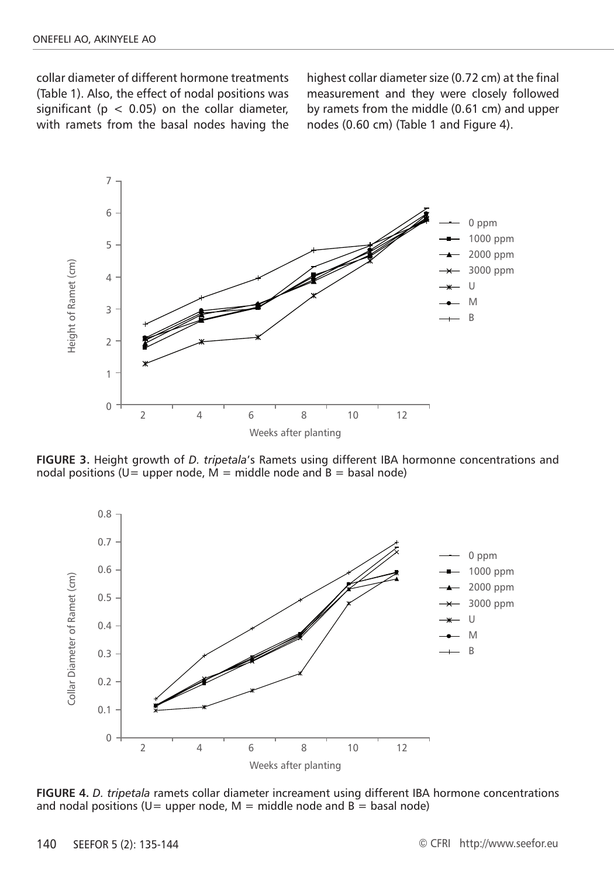collar diameter of different hormone treatments (Table 1). Also, the effect of nodal positions was significant ( $p < 0.05$ ) on the collar diameter, with ramets from the basal nodes having the highest collar diameter size (0.72 cm) at the final measurement and they were closely followed by ramets from the middle (0.61 cm) and upper nodes (0.60 cm) (Table 1 and Figure 4).



**FIGURE 3.** Height growth of *D. tripetala*'s Ramets using different IBA hormonne concentrations and nodal positions (U= upper node,  $M =$  middle node and B = basal node)



**FIGURE 4.** *D. tripetala* ramets collar diameter increament using different IBA hormone concentrations and nodal positions (U= upper node,  $M =$  middle node and B = basal node)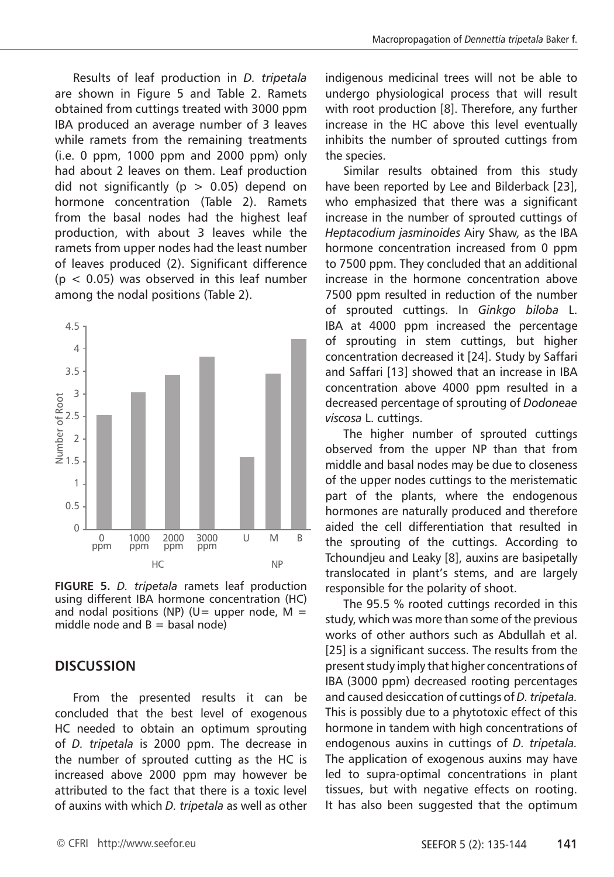Results of leaf production in *D. tripetala*  are shown in Figure 5 and Table 2. Ramets obtained from cuttings treated with 3000 ppm IBA produced an average number of 3 leaves while ramets from the remaining treatments  $(i.e. 0 ppm, 1000 ppm and 2000 ppm)$  only had about 2 leaves on them. Leaf production did not significantly ( $p > 0.05$ ) depend on hormone concentration (Table 2). Ramets from the basal nodes had the highest leaf production, with about 3 leaves while the ramets from upper nodes had the least number of leaves produced (2). Significant difference  $(p < 0.05)$  was observed in this leaf number among the nodal positions (Table 2).



**FIGURE 5.** *D. tripetala* ramets leaf production using different IBA hormone concentration (HC) and nodal positions (NP) (U= upper node,  $M =$ middle node and  $B =$  basal node)

#### **DISCUSSION**

From the presented results it can be concluded that the best level of exogenous HC needed to obtain an optimum sprouting of *D. tripetala* is 2000 ppm. The decrease in the number of sprouted cutting as the HC is increased above 2000 ppm may however be attributed to the fact that there is a toxic level of auxins with which *D. tripetala* as well as other indigenous medicinal trees will not be able to undergo physiological process that will result with root production [8]. Therefore, any further increase in the HC above this level eventually inhibits the number of sprouted cuttings from the species.

Similar results obtained from this study have been reported by Lee and Bilderback [23], who emphasized that there was a significant increase in the number of sprouted cuttings of *Heptacodium jasminoides* Airy Shaw*,* as the IBA hormone concentration increased from 0 ppm to 7500 ppm. They concluded that an additional increase in the hormone concentration above 7500 ppm resulted in reduction of the number of sprouted cuttings. In *Ginkgo biloba* L. IBA at 4000 ppm increased the percentage of sprouting in stem cuttings, but higher concentration decreased it [24]. Study by Saffari and Saffari [13] showed that an increase in IBA concentration above 4000 ppm resulted in a decreased percentage of sprouting of *Dodoneae viscosa* L. cuttings.

The higher number of sprouted cuttings observed from the upper NP than that from middle and basal nodes may be due to closeness of the upper nodes cuttings to the meristematic part of the plants, where the endogenous hormones are naturally produced and therefore aided the cell differentiation that resulted in the sprouting of the cuttings. According to Tchoundjeu and Leaky [8], auxins are basipetally translocated in plant's stems, and are largely responsible for the polarity of shoot.

The 95.5 % rooted cuttings recorded in this study, which was more than some of the previous works of other authors such as Abdullah et al. [25] is a significant success. The results from the present study imply that higher concentrations of IBA (3000 ppm) decreased rooting percentages and caused desiccation of cuttings of *D. tripetala.* This is possibly due to a phytotoxic effect of this hormone in tandem with high concentrations of endogenous auxins in cuttings of *D. tripetala.*  The application of exogenous auxins may have led to supra-optimal concentrations in plant tissues, but with negative effects on rooting. It has also been suggested that the optimum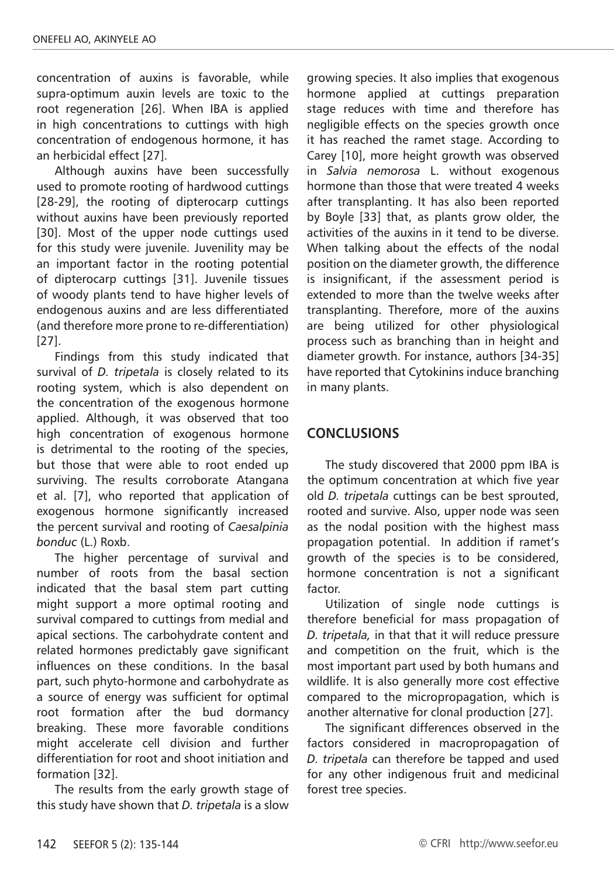concentration of auxins is favorable, while supra-optimum auxin levels are toxic to the root regeneration [26]. When IBA is applied in high concentrations to cuttings with high concentration of endogenous hormone, it has an herbicidal effect [27].

Although auxins have been successfully used to promote rooting of hardwood cuttings [28-29], the rooting of dipterocarp cuttings without auxins have been previously reported [30]. Most of the upper node cuttings used for this study were juvenile. Juvenility may be an important factor in the rooting potential of dipterocarp cuttings [31]. Juvenile tissues of woody plants tend to have higher levels of endogenous auxins and are less differentiated (and therefore more prone to re-differentiation) [27].

Findings from this study indicated that survival of *D. tripetala* is closely related to its rooting system, which is also dependent on the concentration of the exogenous hormone applied. Although, it was observed that too high concentration of exogenous hormone is detrimental to the rooting of the species, but those that were able to root ended up surviving. The results corroborate Atangana et al. [7], who reported that application of exogenous hormone significantly increased the percent survival and rooting of *Caesalpinia bonduc* (L.) Roxb.

The higher percentage of survival and number of roots from the basal section indicated that the basal stem part cutting might support a more optimal rooting and survival compared to cuttings from medial and apical sections. The carbohydrate content and related hormones predictably gave significant influences on these conditions. In the basal part, such phyto-hormone and carbohydrate as a source of energy was sufficient for optimal root formation after the bud dormancy breaking. These more favorable conditions might accelerate cell division and further differentiation for root and shoot initiation and formation [32].

The results from the early growth stage of this study have shown that *D. tripetala* is a slow

growing species. It also implies that exogenous hormone applied at cuttings preparation stage reduces with time and therefore has negligible effects on the species growth once it has reached the ramet stage. According to Carey [10], more height growth was observed in *Salvia nemorosa* L. without exogenous hormone than those that were treated 4 weeks after transplanting. It has also been reported by Boyle [33] that, as plants grow older, the activities of the auxins in it tend to be diverse. When talking about the effects of the nodal position on the diameter growth, the difference is insignificant, if the assessment period is extended to more than the twelve weeks after transplanting. Therefore, more of the auxins are being utilized for other physiological process such as branching than in height and diameter growth. For instance, authors [34-35] have reported that Cytokinins induce branching in many plants.

## **CONCLUSIONS**

The study discovered that 2000 ppm IBA is the optimum concentration at which five year old *D. tripetala* cuttings can be best sprouted, rooted and survive. Also, upper node was seen as the nodal position with the highest mass propagation potential. In addition if ramet's growth of the species is to be considered, hormone concentration is not a significant factor.

Utilization of single node cuttings is therefore beneficial for mass propagation of *D. tripetala,* in that that it will reduce pressure and competition on the fruit, which is the most important part used by both humans and wildlife. It is also generally more cost effective compared to the micropropagation, which is another alternative for clonal production [27].

The significant differences observed in the factors considered in macropropagation of *D. tripetala* can therefore be tapped and used for any other indigenous fruit and medicinal forest tree species.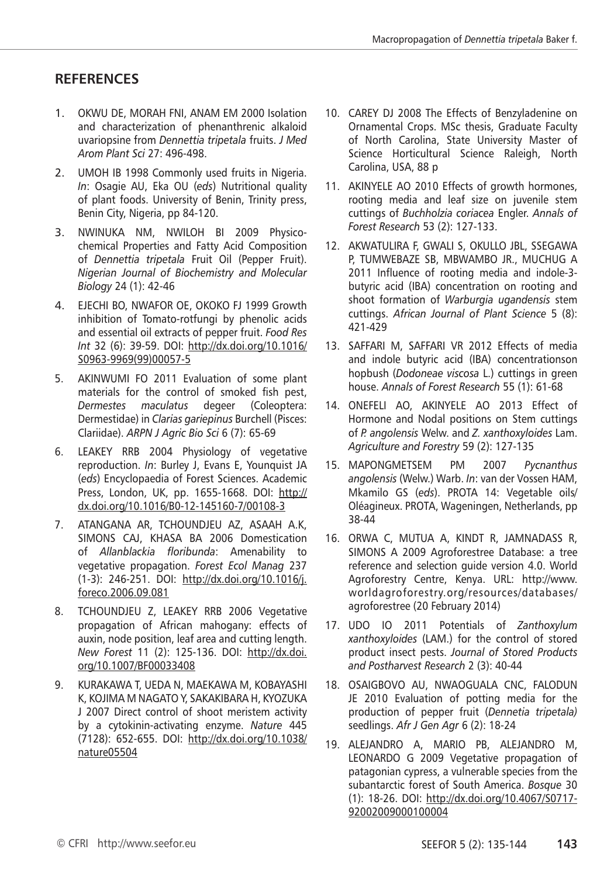## **RefereNces**

- 1. OKWU DE, MORAH FNI, ANAM EM 2000 Isolation and characterization of phenanthrenic alkaloid uvariopsine from *Dennettia tripetala* fruits. *J Med Arom Plant Sci* 27: 496-498.
- 2. UMOH IB 1998 Commonly used fruits in Nigeria. *In*: Osagie AU, Eka OU (*eds*) Nutritional quality of plant foods. University of Benin, Trinity press, Benin City, Nigeria, pp 84-120.
- 3. NWINUKA NM, NWILOH BI 2009 Physicochemical Properties and Fatty Acid Composition of *Dennettia tripetala* Fruit Oil (Pepper Fruit). *Nigerian Journal of Biochemistry and Molecular Biology* 24 (1): 42-46
- 4. EJECHI BO, NWAFOR OE, OKOKO FJ 1999 Growth inhibition of Tomato-rotfungi by phenolic acids and essential oil extracts of pepper fruit. *Food Res Int* 32 (6): 39-59. DOI: http://dx.doi.org/10.1016/ S0963-9969(99)00057-5
- 5. AKINWUMI FO 2011 Evaluation of some plant materials for the control of smoked fish pest, *Dermestes maculatus* degeer (Coleoptera: Dermestidae) in *Clarias gariepinus* Burchell (Pisces: Clariidae). *ARPN J Agric Bio Sci* 6 (7): 65-69
- 6. LEAKEY RRB 2004 Physiology of vegetative reproduction. *In*: Burley J, Evans E, Younquist JA (*eds*) Encyclopaedia of Forest Sciences. Academic Press, London, UK, pp. 1655-1668. DOI: http:// dx.doi.org/10.1016/B0-12-145160-7/00108-3
- 7. ATANGANA AR, TCHOUNDJEU AZ, ASAAH A.K, SIMONS CAJ, KHASA BA 2006 Domestication of *Allanblackia floribunda*: Amenability to vegetative propagation. *Forest Ecol Manag* 237 (1-3): 246-251. DOI: http://dx.doi.org/10.1016/j. foreco.2006.09.081
- 8. TCHOUNDJEU Z, LEAKEY RRB 2006 Vegetative propagation of African mahogany: effects of auxin, node position, leaf area and cutting length. *New Forest* 11 (2): 125-136. DOI: http://dx.doi. org/10.1007/BF00033408
- 9. KURAKAWA T, UEDA N, MAEKAWA M, KOBAYASHI K, KOJIMA M NAGATO Y, SAKAKIBARA H, KYOZUKA J 2007 Direct control of shoot meristem activity by a cytokinin-activating enzyme. *Nature* 445 (7128): 652-655. DOI: http://dx.doi.org/10.1038/ nature05504
- 10. CAREY DJ 2008 The Effects of Benzyladenine on Ornamental Crops. MSc thesis, Graduate Faculty of North Carolina, State University Master of Science Horticultural Science Raleigh, North Carolina, USA, 88 p
- 11. AKINYELE AO 2010 Effects of growth hormones, rooting media and leaf size on juvenile stem cuttings of *Buchholzia coriacea* Engler. *Annals of Forest Research* 53 (2): 127-133.
- 12. AKWATULIRA F, GWALI S, OKULLO JBL, SSEGAWA P, TUMWEBAZE SB, MBWAMBO JR., MUCHUG A 2011 Influence of rooting media and indole-3 butyric acid (IBA) concentration on rooting and shoot formation of *Warburgia ugandensis* stem cuttings. *African Journal of Plant Science* 5 (8): 421-429
- 13. SAFFARI M, SAFFARI VR 2012 Effects of media and indole butyric acid (IBA) concentrationson hopbush (*Dodoneae viscosa* L.) cuttings in green house. *Annals of Forest Research* 55 (1): 61-68
- 14. ONEFELI AO, AKINYELE AO 2013 Effect of Hormone and Nodal positions on Stem cuttings of *P. angolensis* Welw. and *Z. xanthoxyloides* Lam. *Agriculture and Forestry* 59 (2): 127-135
- 15. MAPONGMETSEM PM 2007 *Pycnanthus angolensis* (Welw.) Warb. *In*: van der Vossen HAM, Mkamilo GS (*eds*). PROTA 14: Vegetable oils/ Oléagineux. PROTA, Wageningen, Netherlands, pp 38-44
- 16. ORWA C, MUTUA A, KINDT R, JAMNADASS R, SIMONS A 2009 Agroforestree Database: a tree reference and selection guide version 4.0. World Agroforestry Centre, Kenya. URL: http://www. worldagroforestry.org/resources/databases/ agroforestree (20 February 2014)
- 17. UDO IO 2011 Potentials of *Zanthoxylum xanthoxyloides* (LAM.) for the control of stored product insect pests. *Journal of Stored Products and Postharvest Research* 2 (3): 40-44
- 18. OSAIGBOVO AU, NWAOGUALA CNC, FALODUN JE 2010 Evaluation of potting media for the production of pepper fruit (*Dennetia tripetala)*  seedlings. *Afr J Gen Agr* 6 (2): 18-24
- 19. ALEJANDRO A, MARIO PB, ALEJANDRO M, LEONARDO G 2009 Vegetative propagation of patagonian cypress, a vulnerable species from the subantarctic forest of South America. *Bosque* 30 (1): 18-26. DOI: http://dx.doi.org/10.4067/S0717- 92002009000100004